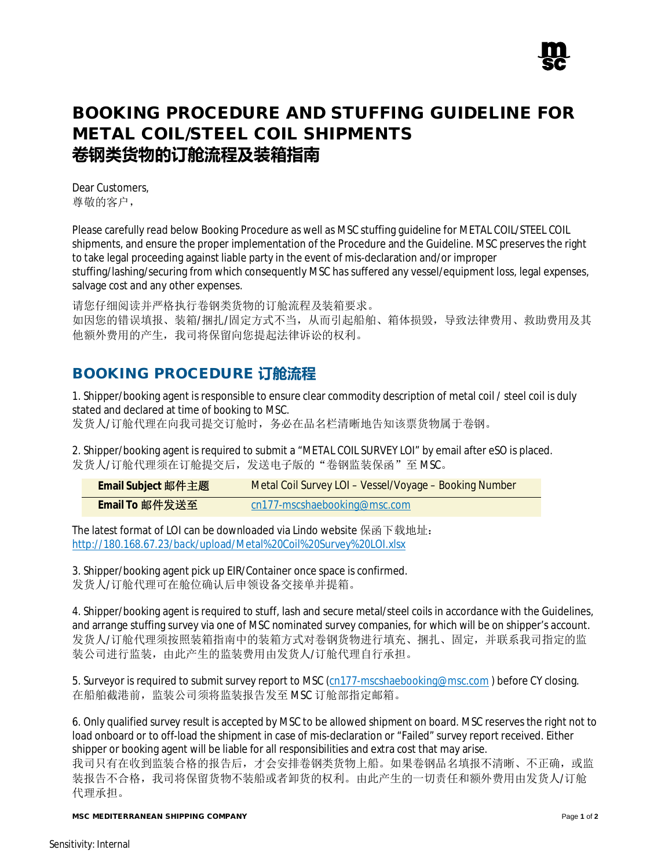

## **BOOKING PROCEDURE AND STUFFING GUIDELINE FOR METAL COIL/STEEL COIL SHIPMENTS 卷钢类货物的订舱流程及装箱指南**

Dear Customers, 尊敬的客户,

Please carefully read below Booking Procedure as well as MSC stuffing guideline for METAL COIL/STEEL COIL shipments, and ensure the proper implementation of the Procedure and the Guideline. MSC preserves the right to take legal proceeding against liable party in the event of mis-declaration and/or improper stuffing/lashing/securing from which consequently MSC has suffered any vessel/equipment loss, legal expenses, salvage cost and any other expenses.

请您仔细阅读并严格执行卷钢类货物的订舱流程及装箱要求。 如因您的错误填报、装箱/捆扎/固定方式不当,从而引起船舶、箱体损毁,导致法律费用、救助费用及其 他额外费用的产生,我司将保留向您提起法律诉讼的权利。

## **BOOKING PROCEDURE 订舱流程**

1. Shipper/booking agent is responsible to ensure clear commodity description of metal coil / steel coil is duly stated and declared at time of booking to MSC.

发货人/订舱代理在向我司提交订舱时,务必在品名栏清晰地告知该票货物属于卷钢。

2. Shipper/booking agent is required to submit a "METAL COIL SURVEY LOI" by email after eSO is placed. 发货人/订舱代理须在订舱提交后,发送电子版的"卷钢监装保函"至 MSC。

| Email Subject 邮件主题 | <b>Metal Coil Survey LOI - Vessel/Voyage - Booking Number</b> |
|--------------------|---------------------------------------------------------------|
| Email To 邮件发送至     | cn177-mscshaebooking@msc.com                                  |

The latest format of LOI can be downloaded via Lindo website 保函下载地址: http://180.168.67.23/back/upload/Metal%20Coil%20Survey%20LOI.xlsx

3. Shipper/booking agent pick up EIR/Container once space is confirmed. 发货人/订舱代理可在舱位确认后申领设备交接单并提箱。

4. Shipper/booking agent is required to stuff, lash and secure metal/steel coils in accordance with the Guidelines, and arrange stuffing survey via one of MSC nominated survey companies, for which will be on shipper's account. 发货人/订舱代理须按照装箱指南中的装箱方式对卷钢货物进行填充、捆扎、固定,并联系我司指定的监 装公司进行监装,由此产生的监装费用由发货人/订舱代理自行承担。

5. Surveyor is required to submit survey report to MSC (cn177-mscshaebooking@msc.com) before CY closing. 在船舶截港前,监装公司须将监装报告发至 MSC 订舱部指定邮箱。

6. Only qualified survey result is accepted by MSC to be allowed shipment on board. MSC reserves the right not to load onboard or to off-load the shipment in case of mis-declaration or "Failed" survey report received. Either shipper or booking agent will be liable for all responsibilities and extra cost that may arise.

我司只有在收到监装合格的报告后,才会安排卷钢类货物上船。如果卷钢品名填报不清晰、不正确,或监 装报告不合格,我司将保留货物不装船或者卸货的权利。由此产生的一切责任和额外费用由发货人/订舱 代理承担。